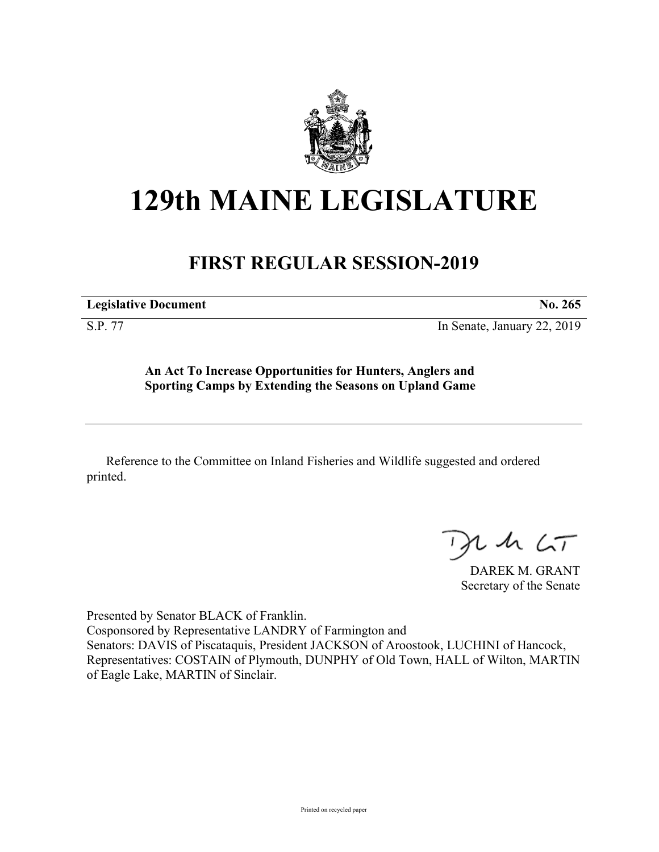

## **129th MAINE LEGISLATURE**

## **FIRST REGULAR SESSION-2019**

**Legislative Document No. 265**

S.P. 77 In Senate, January 22, 2019

**An Act To Increase Opportunities for Hunters, Anglers and Sporting Camps by Extending the Seasons on Upland Game**

Reference to the Committee on Inland Fisheries and Wildlife suggested and ordered printed.

 $125$ 

DAREK M. GRANT Secretary of the Senate

Presented by Senator BLACK of Franklin. Cosponsored by Representative LANDRY of Farmington and Senators: DAVIS of Piscataquis, President JACKSON of Aroostook, LUCHINI of Hancock, Representatives: COSTAIN of Plymouth, DUNPHY of Old Town, HALL of Wilton, MARTIN of Eagle Lake, MARTIN of Sinclair.